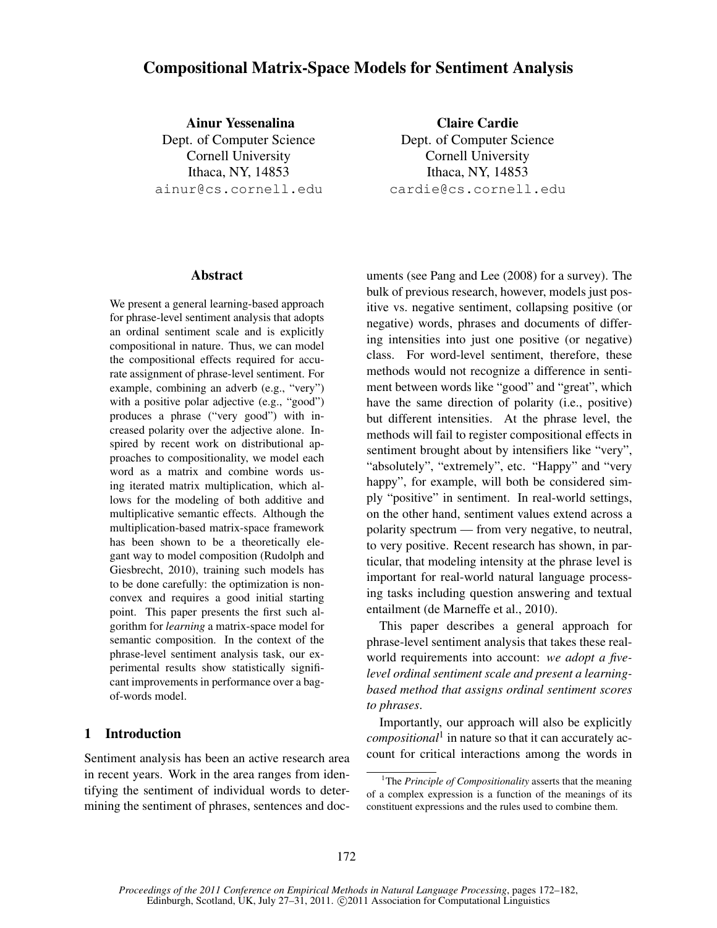# Compositional Matrix-Space Models for Sentiment Analysis

Ainur Yessenalina Dept. of Computer Science Cornell University Ithaca, NY, 14853 ainur@cs.cornell.edu

Claire Cardie Dept. of Computer Science Cornell University Ithaca, NY, 14853 cardie@cs.cornell.edu

#### Abstract

We present a general learning-based approach for phrase-level sentiment analysis that adopts an ordinal sentiment scale and is explicitly compositional in nature. Thus, we can model the compositional effects required for accurate assignment of phrase-level sentiment. For example, combining an adverb (e.g., "very") with a positive polar adjective (e.g., "good") produces a phrase ("very good") with increased polarity over the adjective alone. Inspired by recent work on distributional approaches to compositionality, we model each word as a matrix and combine words using iterated matrix multiplication, which allows for the modeling of both additive and multiplicative semantic effects. Although the multiplication-based matrix-space framework has been shown to be a theoretically elegant way to model composition (Rudolph and Giesbrecht, 2010), training such models has to be done carefully: the optimization is nonconvex and requires a good initial starting point. This paper presents the first such algorithm for *learning* a matrix-space model for semantic composition. In the context of the phrase-level sentiment analysis task, our experimental results show statistically significant improvements in performance over a bagof-words model.

# 1 Introduction

Sentiment analysis has been an active research area in recent years. Work in the area ranges from identifying the sentiment of individual words to determining the sentiment of phrases, sentences and documents (see Pang and Lee (2008) for a survey). The bulk of previous research, however, models just positive vs. negative sentiment, collapsing positive (or negative) words, phrases and documents of differing intensities into just one positive (or negative) class. For word-level sentiment, therefore, these methods would not recognize a difference in sentiment between words like "good" and "great", which have the same direction of polarity (i.e., positive) but different intensities. At the phrase level, the methods will fail to register compositional effects in sentiment brought about by intensifiers like "very", "absolutely", "extremely", etc. "Happy" and "very happy", for example, will both be considered simply "positive" in sentiment. In real-world settings, on the other hand, sentiment values extend across a polarity spectrum — from very negative, to neutral, to very positive. Recent research has shown, in particular, that modeling intensity at the phrase level is important for real-world natural language processing tasks including question answering and textual entailment (de Marneffe et al., 2010).

This paper describes a general approach for phrase-level sentiment analysis that takes these realworld requirements into account: *we adopt a fivelevel ordinal sentiment scale and present a learningbased method that assigns ordinal sentiment scores to phrases*.

Importantly, our approach will also be explicitly *compositional*<sup>1</sup> in nature so that it can accurately account for critical interactions among the words in

<sup>&</sup>lt;sup>1</sup>The *Principle of Compositionality* asserts that the meaning of a complex expression is a function of the meanings of its constituent expressions and the rules used to combine them.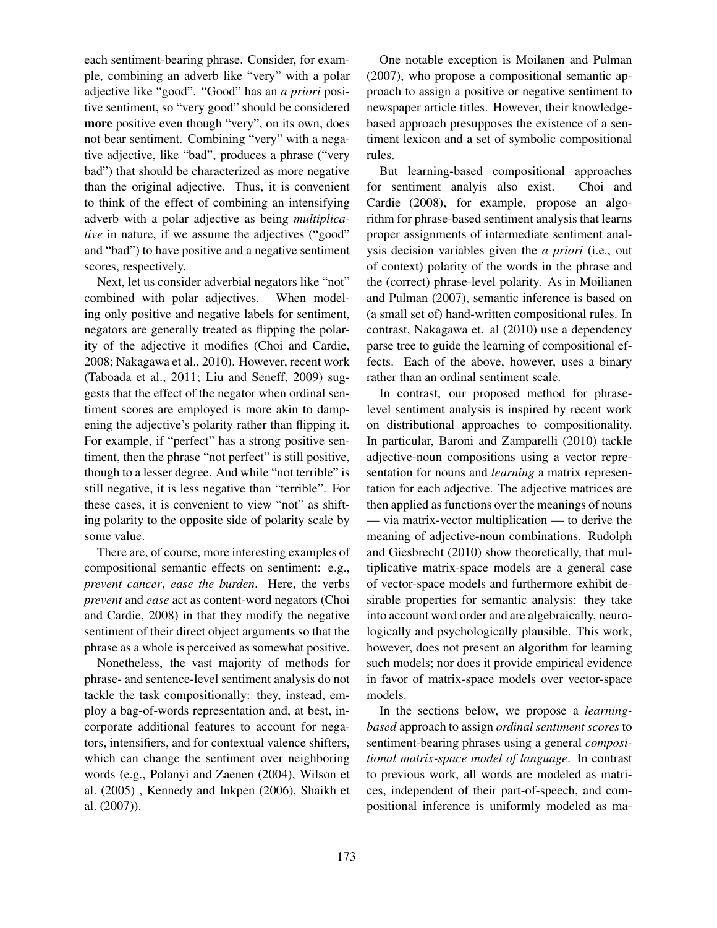each sentiment-bearing phrase. Consider, for example, combining an adverb like "very" with a polar adjective like "good". "Good" has an *a priori* positive sentiment, so "very good" should be considered more positive even though "very", on its own, does not bear sentiment. Combining "very" with a negative adjective, like "bad", produces a phrase ("very bad") that should be characterized as more negative than the original adjective. Thus, it is convenient to think of the effect of combining an intensifying adverb with a polar adjective as being *multiplicative* in nature, if we assume the adjectives ("good" and "bad") to have positive and a negative sentiment scores, respectively.

Next, let us consider adverbial negators like "not" combined with polar adjectives. When modeling only positive and negative labels for sentiment, negators are generally treated as flipping the polarity of the adjective it modifies (Choi and Cardie, 2008; Nakagawa et al., 2010). However, recent work (Taboada et al., 2011; Liu and Seneff, 2009) suggests that the effect of the negator when ordinal sentiment scores are employed is more akin to dampening the adjective's polarity rather than flipping it. For example, if "perfect" has a strong positive sentiment, then the phrase "not perfect" is still positive, though to a lesser degree. And while "not terrible" is still negative, it is less negative than "terrible". For these cases, it is convenient to view "not" as shifting polarity to the opposite side of polarity scale by some value.

There are, of course, more interesting examples of compositional semantic effects on sentiment: e.g., *prevent cancer*, *ease the burden*. Here, the verbs *prevent* and *ease* act as content-word negators (Choi and Cardie, 2008) in that they modify the negative sentiment of their direct object arguments so that the phrase as a whole is perceived as somewhat positive.

Nonetheless, the vast majority of methods for phrase- and sentence-level sentiment analysis do not tackle the task compositionally: they, instead, employ a bag-of-words representation and, at best, incorporate additional features to account for negators, intensifiers, and for contextual valence shifters, which can change the sentiment over neighboring words (e.g., Polanyi and Zaenen (2004), Wilson et al. (2005) , Kennedy and Inkpen (2006), Shaikh et al. (2007)).

One notable exception is Moilanen and Pulman (2007), who propose a compositional semantic approach to assign a positive or negative sentiment to newspaper article titles. However, their knowledgebased approach presupposes the existence of a sentiment lexicon and a set of symbolic compositional rules.

But learning-based compositional approaches for sentiment analyis also exist. Choi and Cardie (2008), for example, propose an algorithm for phrase-based sentiment analysis that learns proper assignments of intermediate sentiment analysis decision variables given the *a priori* (i.e., out of context) polarity of the words in the phrase and the (correct) phrase-level polarity. As in Moilianen and Pulman (2007), semantic inference is based on (a small set of) hand-written compositional rules. In contrast, Nakagawa et. al (2010) use a dependency parse tree to guide the learning of compositional effects. Each of the above, however, uses a binary rather than an ordinal sentiment scale.

In contrast, our proposed method for phraselevel sentiment analysis is inspired by recent work on distributional approaches to compositionality. In particular, Baroni and Zamparelli (2010) tackle adjective-noun compositions using a vector representation for nouns and *learning* a matrix representation for each adjective. The adjective matrices are then applied as functions over the meanings of nouns — via matrix-vector multiplication — to derive the meaning of adjective-noun combinations. Rudolph and Giesbrecht (2010) show theoretically, that multiplicative matrix-space models are a general case of vector-space models and furthermore exhibit desirable properties for semantic analysis: they take into account word order and are algebraically, neurologically and psychologically plausible. This work, however, does not present an algorithm for learning such models; nor does it provide empirical evidence in favor of matrix-space models over vector-space models.

In the sections below, we propose a *learningbased* approach to assign *ordinal sentiment scores* to sentiment-bearing phrases using a general *compositional matrix-space model of language*. In contrast to previous work, all words are modeled as matrices, independent of their part-of-speech, and compositional inference is uniformly modeled as ma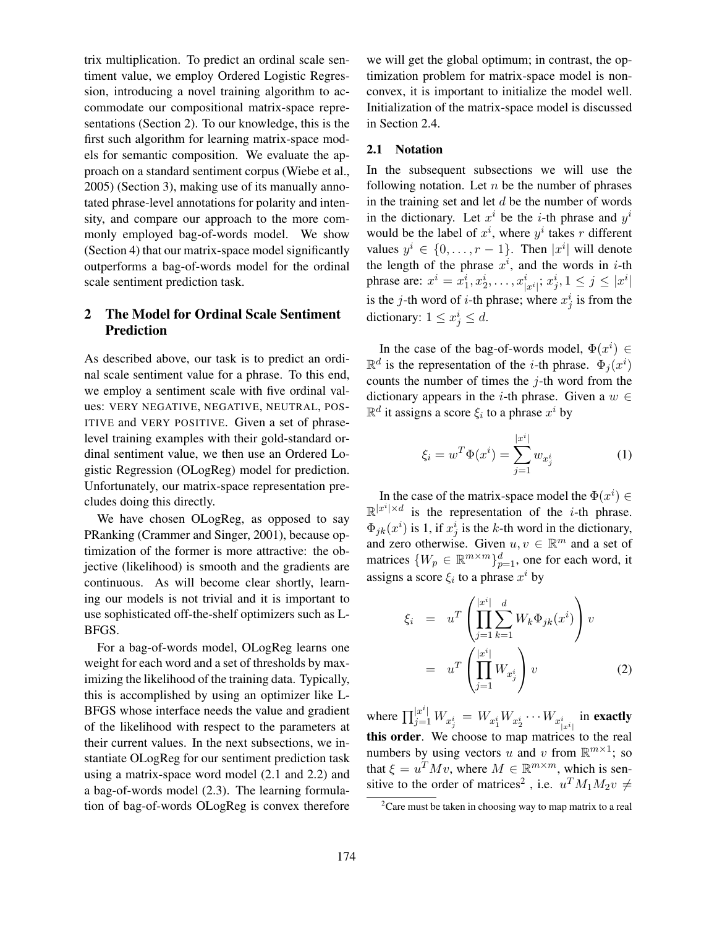trix multiplication. To predict an ordinal scale sentiment value, we employ Ordered Logistic Regression, introducing a novel training algorithm to accommodate our compositional matrix-space representations (Section 2). To our knowledge, this is the first such algorithm for learning matrix-space models for semantic composition. We evaluate the approach on a standard sentiment corpus (Wiebe et al., 2005) (Section 3), making use of its manually annotated phrase-level annotations for polarity and intensity, and compare our approach to the more commonly employed bag-of-words model. We show (Section 4) that our matrix-space model significantly outperforms a bag-of-words model for the ordinal scale sentiment prediction task.

# 2 The Model for Ordinal Scale Sentiment Prediction

As described above, our task is to predict an ordinal scale sentiment value for a phrase. To this end, we employ a sentiment scale with five ordinal values: VERY NEGATIVE, NEGATIVE, NEUTRAL, POS-ITIVE and VERY POSITIVE. Given a set of phraselevel training examples with their gold-standard ordinal sentiment value, we then use an Ordered Logistic Regression (OLogReg) model for prediction. Unfortunately, our matrix-space representation precludes doing this directly.

We have chosen OLogReg, as opposed to say PRanking (Crammer and Singer, 2001), because optimization of the former is more attractive: the objective (likelihood) is smooth and the gradients are continuous. As will become clear shortly, learning our models is not trivial and it is important to use sophisticated off-the-shelf optimizers such as L-BFGS.

For a bag-of-words model, OLogReg learns one weight for each word and a set of thresholds by maximizing the likelihood of the training data. Typically, this is accomplished by using an optimizer like L-BFGS whose interface needs the value and gradient of the likelihood with respect to the parameters at their current values. In the next subsections, we instantiate OLogReg for our sentiment prediction task using a matrix-space word model (2.1 and 2.2) and a bag-of-words model (2.3). The learning formulation of bag-of-words OLogReg is convex therefore

we will get the global optimum; in contrast, the optimization problem for matrix-space model is nonconvex, it is important to initialize the model well. Initialization of the matrix-space model is discussed in Section 2.4.

#### 2.1 Notation

In the subsequent subsections we will use the following notation. Let  $n$  be the number of phrases in the training set and let  $d$  be the number of words in the dictionary. Let  $x^i$  be the *i*-th phrase and  $y^i$ would be the label of  $x^i$ , where  $y^i$  takes r different values  $y^i \in \{0, \ldots, r-1\}$ . Then  $|x^i|$  will denote the length of the phrase  $x^i$ , and the words in *i*-th phrase are:  $x^i = x_1^i, x_2^i, \dots, x_{|x^i|}^i, x_j^i, 1 \le j \le |x^i|$ is the *j*-th word of *i*-th phrase; where  $x_j^i$  is from the dictionary:  $1 \leq x_j^i \leq d$ .

In the case of the bag-of-words model,  $\Phi(x^i) \in$  $\mathbb{R}^d$  is the representation of the *i*-th phrase.  $\Phi_j(x^i)$ counts the number of times the  $j$ -th word from the dictionary appears in the *i*-th phrase. Given a  $w \in$  $\mathbb{R}^d$  it assigns a score  $\xi_i$  to a phrase  $x^i$  by

$$
\xi_i = w^T \Phi(x^i) = \sum_{j=1}^{|x^i|} w_{x^i_j}
$$
 (1)

In the case of the matrix-space model the  $\Phi(x^i) \in$  $\mathbb{R}^{|x^i| \times d}$  is the representation of the *i*-th phrase.  $\Phi_{jk}(x^i)$  is 1, if  $x_j^i$  is the k-th word in the dictionary, and zero otherwise. Given  $u, v \in \mathbb{R}^m$  and a set of matrices  $\{W_p \in \mathbb{R}^{m \times m}\}_{p=1}^d$ , one for each word, it assigns a score  $\xi_i$  to a phrase  $x^i$  by

$$
\xi_i = u^T \left( \prod_{j=1}^{|x^i|} \sum_{k=1}^d W_k \Phi_{jk}(x^i) \right) v
$$

$$
= u^T \left( \prod_{j=1}^{|x^i|} W_{x^i_j} \right) v
$$
(2)

where  $\prod_{j=1}^{|x^i|} W_{x^i_j} = W_{x^i_1} W_{x^i_2} \cdots W_{x^i_{|x^i|}}$  in exactly this order. We choose to map matrices to the real numbers by using vectors u and v from  $\mathbb{R}^{m \times 1}$ ; so that  $\xi = u^T M v$ , where  $M \in \mathbb{R}^{m \times m}$ , which is sensitive to the order of matrices<sup>2</sup>, i.e.  $u^T M_1 M_2 v \neq$ 

 $2$ Care must be taken in choosing way to map matrix to a real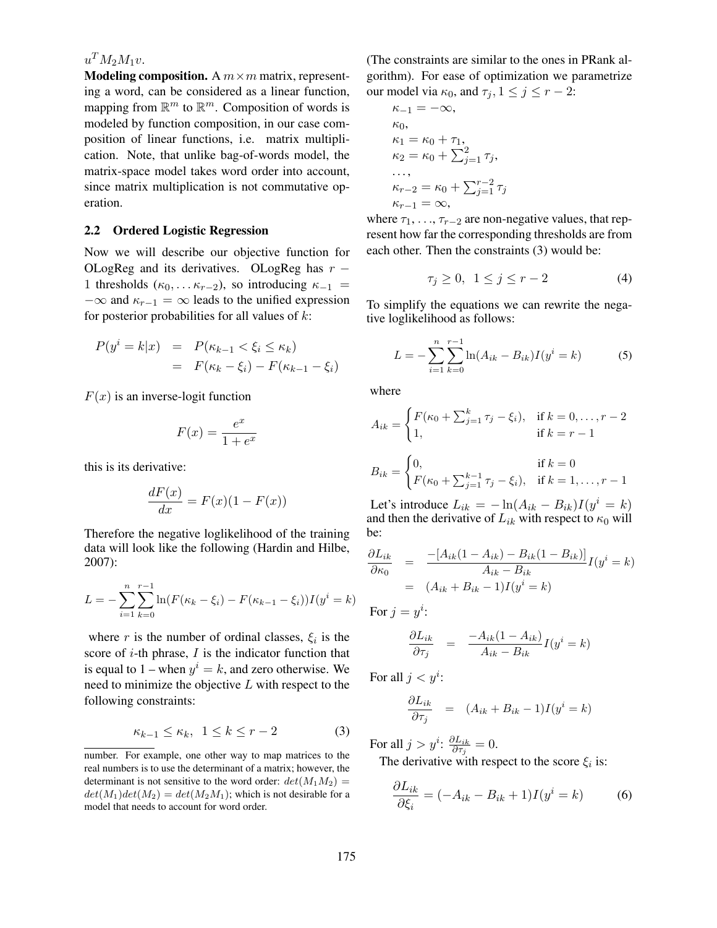# $u^T M_2 M_1 v.$

**Modeling composition.** A  $m \times m$  matrix, representing a word, can be considered as a linear function, mapping from  $\mathbb{R}^m$  to  $\mathbb{R}^m$ . Composition of words is modeled by function composition, in our case composition of linear functions, i.e. matrix multiplication. Note, that unlike bag-of-words model, the matrix-space model takes word order into account, since matrix multiplication is not commutative operation.

#### 2.2 Ordered Logistic Regression

Now we will describe our objective function for OLogReg and its derivatives. OLogReg has  $r -$ 1 thresholds ( $\kappa_0, \ldots \kappa_{r-2}$ ), so introducing  $\kappa_{-1}$  =  $-\infty$  and  $\kappa_{r-1} = \infty$  leads to the unified expression for posterior probabilities for all values of  $k$ :

$$
P(yi = k|x) = P(\kappa_{k-1} < \xi_i \le \kappa_k)
$$
  
= 
$$
F(\kappa_k - \xi_i) - F(\kappa_{k-1} - \xi_i)
$$

 $F(x)$  is an inverse-logit function

$$
F(x) = \frac{e^x}{1 + e^x}
$$

this is its derivative:

$$
\frac{dF(x)}{dx} = F(x)(1 - F(x))
$$

Therefore the negative loglikelihood of the training data will look like the following (Hardin and Hilbe, 2007):

$$
L = -\sum_{i=1}^{n} \sum_{k=0}^{r-1} \ln(F(\kappa_k - \xi_i) - F(\kappa_{k-1} - \xi_i))I(y^i = k)
$$

where r is the number of ordinal classes,  $\xi_i$  is the score of  $i$ -th phrase,  $I$  is the indicator function that is equal to 1 – when  $y^i = k$ , and zero otherwise. We need to minimize the objective  $L$  with respect to the following constraints:

$$
\kappa_{k-1} \le \kappa_k, \ \ 1 \le k \le r-2 \tag{3}
$$

(The constraints are similar to the ones in PRank algorithm). For ease of optimization we parametrize our model via  $\kappa_0$ , and  $\tau_i$ ,  $1 \leq j \leq r-2$ :

$$
\kappa_{-1} = -\infty,
$$
  
\n
$$
\kappa_0,
$$
  
\n
$$
\kappa_1 = \kappa_0 + \tau_1,
$$
  
\n
$$
\kappa_2 = \kappa_0 + \sum_{j=1}^2 \tau_j,
$$
  
\n...  
\n
$$
\kappa_{r-2} = \kappa_0 + \sum_{j=1}^{r-2} \tau_j
$$
  
\n
$$
\kappa_{r-1} = \infty,
$$

where  $\tau_1, \ldots, \tau_{r-2}$  are non-negative values, that represent how far the corresponding thresholds are from each other. Then the constraints (3) would be:

$$
\tau_j \ge 0, \quad 1 \le j \le r-2 \tag{4}
$$

To simplify the equations we can rewrite the negative loglikelihood as follows:

$$
L = -\sum_{i=1}^{n} \sum_{k=0}^{r-1} \ln(A_{ik} - B_{ik}) I(y^i = k)
$$
 (5)

where

$$
A_{ik} = \begin{cases} F(\kappa_0 + \sum_{j=1}^k \tau_j - \xi_i), & \text{if } k = 0, \dots, r - 2 \\ 1, & \text{if } k = r - 1 \end{cases}
$$
  

$$
B_{ik} = \begin{cases} 0, & \text{if } k = 0 \\ F(\kappa_0 + \sum_{j=1}^{k-1} \tau_j - \xi_i), & \text{if } k = 1, \dots, r - 1 \end{cases}
$$

Let's introduce  $L_{ik} = -\ln(A_{ik} - B_{ik})I(y^i = k)$ and then the derivative of  $L_{ik}$  with respect to  $\kappa_0$  will be:

$$
\frac{\partial L_{ik}}{\partial \kappa_0} = \frac{-[A_{ik}(1 - A_{ik}) - B_{ik}(1 - B_{ik})]}{A_{ik} - B_{ik}} I(y^i = k)
$$

$$
= (A_{ik} + B_{ik} - 1)I(y^i = k)
$$

For 
$$
j = y^i
$$
:  
\n
$$
\frac{\partial L_{ik}}{\partial \tau_j} = \frac{-A_{ik}(1 - A_{ik})}{A_{ik} - B_{ik}}
$$

 $\frac{A_{ik}(1 - A_{ik})}{A_{ik} - B_{ik}} I(y^i = k)$ For all  $j < y^i$ :

$$
\frac{\partial L_{ik}}{\partial \tau_j} = (A_{ik} + B_{ik} - 1)I(y^i = k)
$$

For all  $j > y^i$ :  $\frac{\partial L_{ik}}{\partial \tau_i}$  $\frac{\partial L_{ik}}{\partial \tau_j} = 0.$ 

The derivative with respect to the score  $\xi_i$  is:

$$
\frac{\partial L_{ik}}{\partial \xi_i} = (-A_{ik} - B_{ik} + 1)I(y^i = k)
$$
(6)

number. For example, one other way to map matrices to the real numbers is to use the determinant of a matrix; however, the determinant is not sensitive to the word order:  $det(M_1M_2)$  =  $det(M_1)det(M_2) = det(M_2M_1)$ ; which is not desirable for a model that needs to account for word order.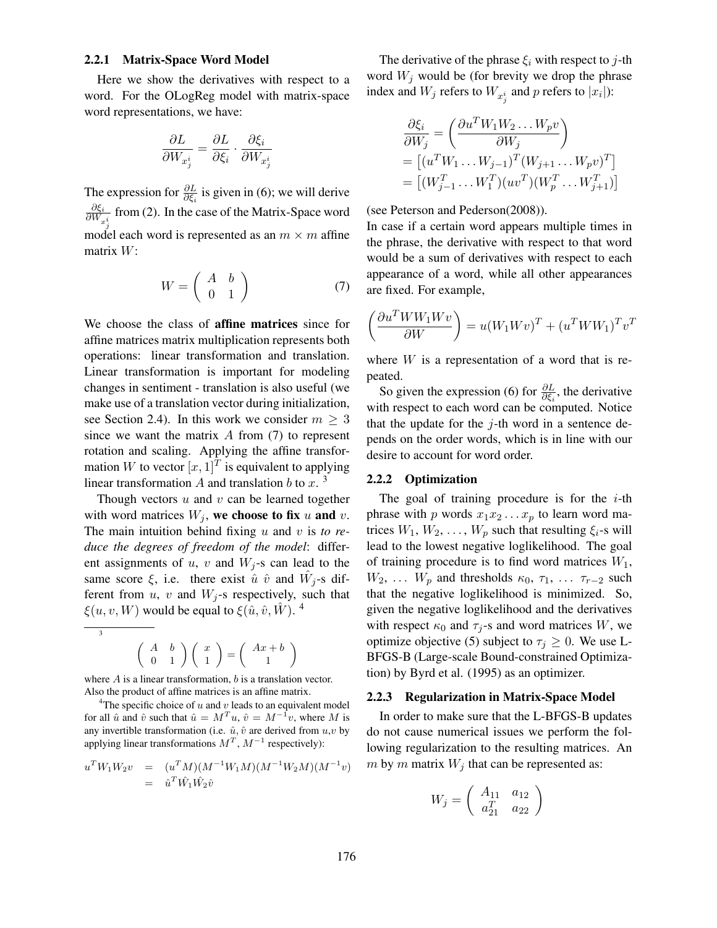#### 2.2.1 Matrix-Space Word Model

Here we show the derivatives with respect to a word. For the OLogReg model with matrix-space word representations, we have:

$$
\frac{\partial L}{\partial W_{x^i_j}} = \frac{\partial L}{\partial \xi_i} \cdot \frac{\partial \xi_i}{\partial W_{x^i_j}}
$$

The expression for  $\frac{\partial L}{\partial \xi_i}$  is given in (6); we will derive ∂ξ<sup>i</sup>  $\frac{\partial \xi_i}{\partial W_{x_{\xi}^i}}$  from (2). In the case of the Matrix-Space word model each word is represented as an  $m \times m$  affine matrix  $W$ :

$$
W = \left(\begin{array}{cc} A & b \\ 0 & 1 \end{array}\right) \tag{7}
$$

We choose the class of affine matrices since for affine matrices matrix multiplication represents both operations: linear transformation and translation. Linear transformation is important for modeling changes in sentiment - translation is also useful (we make use of a translation vector during initialization, see Section 2.4). In this work we consider  $m \geq 3$ since we want the matrix  $A$  from  $(7)$  to represent rotation and scaling. Applying the affine transformation W to vector  $[x,1]^T$  is equivalent to applying linear transformation A and translation b to x.  $3$ 

Though vectors  $u$  and  $v$  can be learned together with word matrices  $W_j$ , we choose to fix u and v. The main intuition behind fixing u and v is *to reduce the degrees of freedom of the model*: different assignments of u, v and  $W_i$ -s can lead to the same score  $\xi$ , i.e. there exist  $\hat{u}$   $\hat{v}$  and  $\hat{W}_{j}$ -s different from  $u$ ,  $v$  and  $W_i$ -s respectively, such that  $\xi(u, v, W)$  would be equal to  $\xi(\hat{u}, \hat{v}, \hat{W})$ . <sup>4</sup>

$$
\begin{pmatrix} A & b \\ 0 & 1 \end{pmatrix} \begin{pmatrix} x \\ 1 \end{pmatrix} = \begin{pmatrix} Ax + b \\ 1 \end{pmatrix}
$$

where  $A$  is a linear transformation,  $b$  is a translation vector. Also the product of affine matrices is an affine matrix.

<sup>4</sup>The specific choice of u and v leads to an equivalent model for all  $\hat{u}$  and  $\hat{v}$  such that  $\hat{u} = M^T u$ ,  $\hat{v} = M^{-1} v$ , where M is any invertible transformation (i.e.  $\hat{u}, \hat{v}$  are derived from  $u, v$  by applying linear transformations  $M^T$ ,  $M^{-1}$  respectively):

$$
u^T W_1 W_2 v = (u^T M)(M^{-1} W_1 M)(M^{-1} W_2 M)(M^{-1} v) = \hat{u}^T \hat{W}_1 \hat{W}_2 \hat{v}
$$

The derivative of the phrase  $\xi_i$  with respect to j-th word  $W_j$  would be (for brevity we drop the phrase index and  $W_j$  refers to  $W_{x_j^i}$  and  $p$  refers to  $|x_i|$ ):

$$
\frac{\partial \xi_i}{\partial W_j} = \left( \frac{\partial u^T W_1 W_2 \dots W_p v}{\partial W_j} \right)
$$
  
= 
$$
\left[ (u^T W_1 \dots W_{j-1})^T (W_{j+1} \dots W_p v)^T \right]
$$
  
= 
$$
\left[ (W_{j-1}^T \dots W_1^T) (uv^T) (W_p^T \dots W_{j+1}^T) \right]
$$

(see Peterson and Pederson(2008)).

In case if a certain word appears multiple times in the phrase, the derivative with respect to that word would be a sum of derivatives with respect to each appearance of a word, while all other appearances are fixed. For example,

$$
\left(\frac{\partial u^T W W_1 W v}{\partial W}\right) = u(W_1 W v)^T + (u^T W W_1)^T v^T
$$

where  $W$  is a representation of a word that is repeated.

So given the expression (6) for  $\frac{\partial L}{\partial \xi_i}$ , the derivative with respect to each word can be computed. Notice that the update for the  $j$ -th word in a sentence depends on the order words, which is in line with our desire to account for word order.

#### 2.2.2 Optimization

The goal of training procedure is for the  $i$ -th phrase with p words  $x_1x_2...x_p$  to learn word matrices  $W_1, W_2, \ldots, W_p$  such that resulting  $\xi_i$ -s will lead to the lowest negative loglikelihood. The goal of training procedure is to find word matrices  $W_1$ ,  $W_2$ , ...  $W_p$  and thresholds  $\kappa_0$ ,  $\tau_1$ , ...  $\tau_{r-2}$  such that the negative loglikelihood is minimized. So, given the negative loglikelihood and the derivatives with respect  $\kappa_0$  and  $\tau_i$ -s and word matrices W, we optimize objective (5) subject to  $\tau_j \geq 0$ . We use L-BFGS-B (Large-scale Bound-constrained Optimization) by Byrd et al. (1995) as an optimizer.

#### 2.2.3 Regularization in Matrix-Space Model

In order to make sure that the L-BFGS-B updates do not cause numerical issues we perform the following regularization to the resulting matrices. An m by m matrix  $W_j$  that can be represented as:

$$
W_j = \left( \begin{array}{cc} A_{11} & a_{12} \\ a_{21}^T & a_{22} \end{array} \right)
$$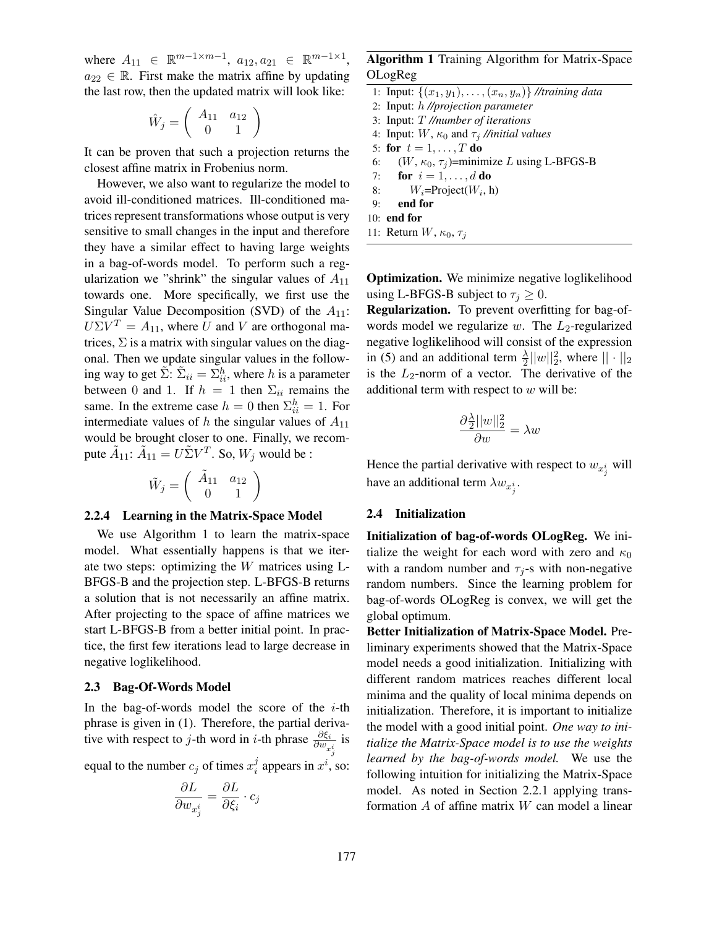where  $A_{11} \in \mathbb{R}^{m-1 \times m-1}$ ,  $a_{12}, a_{21} \in \mathbb{R}^{m-1 \times 1}$ ,  $a_{22} \in \mathbb{R}$ . First make the matrix affine by updating the last row, then the updated matrix will look like:

$$
\hat{W}_j=\left(\begin{array}{cc} A_{11} & a_{12} \\ 0 & 1 \end{array}\right)
$$

It can be proven that such a projection returns the closest affine matrix in Frobenius norm.

However, we also want to regularize the model to avoid ill-conditioned matrices. Ill-conditioned matrices represent transformations whose output is very sensitive to small changes in the input and therefore they have a similar effect to having large weights in a bag-of-words model. To perform such a regularization we "shrink" the singular values of  $A_{11}$ towards one. More specifically, we first use the Singular Value Decomposition (SVD) of the  $A_{11}$ :  $U\Sigma V^T = A_{11}$ , where U and V are orthogonal matrices,  $\Sigma$  is a matrix with singular values on the diagonal. Then we update singular values in the following way to get  $\tilde{\Sigma}$ :  $\tilde{\Sigma}_{ii} = \Sigma_{ii}^h$ , where h is a parameter between 0 and 1. If  $h = 1$  then  $\Sigma_{ii}$  remains the same. In the extreme case  $h = 0$  then  $\Sigma_{ii}^h = 1$ . For intermediate values of  $h$  the singular values of  $A_{11}$ would be brought closer to one. Finally, we recompute  $\tilde{A}_{11}$ :  $\tilde{A}_{11} = U \tilde{\Sigma} V^T$ . So,  $W_j$  would be :

$$
\tilde{W}_j=\left(\begin{array}{cc} \tilde{A}_{11} & a_{12} \\ 0 & 1 \end{array}\right)
$$

#### 2.2.4 Learning in the Matrix-Space Model

We use Algorithm 1 to learn the matrix-space model. What essentially happens is that we iterate two steps: optimizing the W matrices using L-BFGS-B and the projection step. L-BFGS-B returns a solution that is not necessarily an affine matrix. After projecting to the space of affine matrices we start L-BFGS-B from a better initial point. In practice, the first few iterations lead to large decrease in negative loglikelihood.

#### 2.3 Bag-Of-Words Model

In the bag-of-words model the score of the  $i$ -th phrase is given in (1). Therefore, the partial derivative with respect to *j*-th word in *i*-th phrase  $\frac{\partial \xi_i}{\partial w_{x_j}}$  $\frac{\partial \xi_i}{\partial s}$  is equal to the number  $c_j$  of times  $x_i^j$  $i$  appears in  $x^i$ , so:

$$
\frac{\partial L}{\partial w_{x^i_j}} = \frac{\partial L}{\partial \xi_i} \cdot c_j
$$

Algorithm 1 Training Algorithm for Matrix-Space OLogReg

- 1: Input:  $\{(x_1, y_1), \ldots, (x_n, y_n)\}$  //training data
- 2: Input: h *//projection parameter*
- 3: Input: T *//number of iterations*
- 4: Input:  $W$ ,  $\kappa_0$  and  $\tau_i$  //initial values
- 5: for  $t = 1, \ldots, T$  do
- 6:  $(W, \kappa_0, \tau_i)$ =minimize L using L-BFGS-B
- 7: for  $i = 1, \ldots, d$  do
- 8:  $W_i = Project(W_i, h)$
- 9: end for
- 10: end for
- 11: Return  $W$ ,  $\kappa_0$ ,  $\tau_i$

Optimization. We minimize negative loglikelihood using L-BFGS-B subject to  $\tau_j \geq 0$ .

Regularization. To prevent overfitting for bag-ofwords model we regularize w. The  $L_2$ -regularized negative loglikelihood will consist of the expression in (5) and an additional term  $\frac{\lambda}{2}||w||_2^2$ , where  $|| \cdot ||_2$ is the  $L_2$ -norm of a vector. The derivative of the additional term with respect to  $w$  will be:

$$
\frac{\partial \frac{\lambda}{2}||w||_2^2}{\partial w} = \lambda w
$$

Hence the partial derivative with respect to  $w_{x_j^i}$  will have an additional term  $\lambda w_{x_j^i}$ .

### 2.4 Initialization

Initialization of bag-of-words OLogReg. We initialize the weight for each word with zero and  $\kappa_0$ with a random number and  $\tau_i$ -s with non-negative random numbers. Since the learning problem for bag-of-words OLogReg is convex, we will get the global optimum.

Better Initialization of Matrix-Space Model. Preliminary experiments showed that the Matrix-Space model needs a good initialization. Initializing with different random matrices reaches different local minima and the quality of local minima depends on initialization. Therefore, it is important to initialize the model with a good initial point. *One way to initialize the Matrix-Space model is to use the weights learned by the bag-of-words model.* We use the following intuition for initializing the Matrix-Space model. As noted in Section 2.2.1 applying transformation A of affine matrix W can model a linear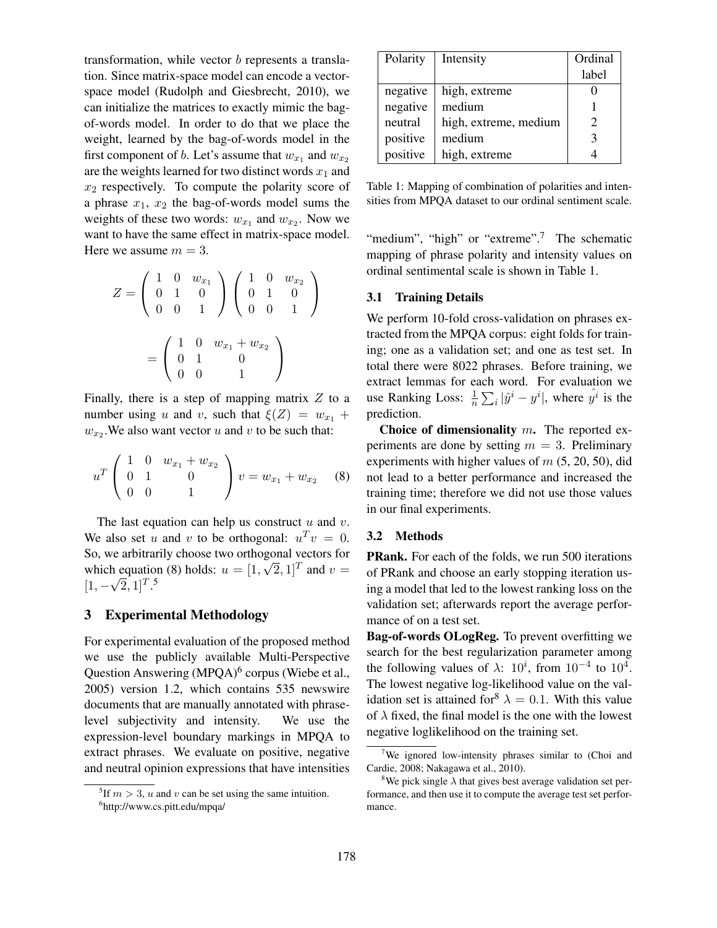transformation, while vector b represents a translation. Since matrix-space model can encode a vectorspace model (Rudolph and Giesbrecht, 2010), we can initialize the matrices to exactly mimic the bagof-words model. In order to do that we place the weight, learned by the bag-of-words model in the first component of b. Let's assume that  $w_{x_1}$  and  $w_{x_2}$ are the weights learned for two distinct words  $x_1$  and  $x_2$  respectively. To compute the polarity score of a phrase  $x_1$ ,  $x_2$  the bag-of-words model sums the weights of these two words:  $w_{x_1}$  and  $w_{x_2}$ . Now we want to have the same effect in matrix-space model. Here we assume  $m = 3$ .

$$
Z = \begin{pmatrix} 1 & 0 & w_{x_1} \\ 0 & 1 & 0 \\ 0 & 0 & 1 \end{pmatrix} \begin{pmatrix} 1 & 0 & w_{x_2} \\ 0 & 1 & 0 \\ 0 & 0 & 1 \end{pmatrix}
$$

$$
= \begin{pmatrix} 1 & 0 & w_{x_1} + w_{x_2} \\ 0 & 1 & 0 \\ 0 & 0 & 1 \end{pmatrix}
$$

Finally, there is a step of mapping matrix  $Z$  to a number using u and v, such that  $\xi(Z) = w_{x_1} +$  $w_{x_2}$ . We also want vector u and v to be such that:

$$
u^T \begin{pmatrix} 1 & 0 & w_{x_1} + w_{x_2} \\ 0 & 1 & 0 \\ 0 & 0 & 1 \end{pmatrix} v = w_{x_1} + w_{x_2} \quad (8)
$$

The last equation can help us construct  $u$  and  $v$ . We also set u and v to be orthogonal:  $u^T v = 0$ . So, we arbitrarily choose two orthogonal vectors for which equation (8) holds:  $u = [1, \sqrt{2}, 1]^T$  and  $v =$  $[1, -\sqrt{2}, 1]^T$ .<sup>5</sup>

### 3 Experimental Methodology

For experimental evaluation of the proposed method we use the publicly available Multi-Perspective Question Answering (MPQA)<sup>6</sup> corpus (Wiebe et al., 2005) version 1.2, which contains 535 newswire documents that are manually annotated with phraselevel subjectivity and intensity. We use the expression-level boundary markings in MPQA to extract phrases. We evaluate on positive, negative and neutral opinion expressions that have intensities

| Polarity | Intensity             | Ordinal                     |
|----------|-----------------------|-----------------------------|
|          |                       | label                       |
| negative | high, extreme         |                             |
| negative | medium                |                             |
| neutral  | high, extreme, medium | $\mathcal{D}_{\mathcal{L}}$ |
| positive | medium                | 3                           |
| positive | high, extreme         |                             |

Table 1: Mapping of combination of polarities and intensities from MPQA dataset to our ordinal sentiment scale.

"medium", "high" or "extreme".<sup>7</sup> The schematic mapping of phrase polarity and intensity values on ordinal sentimental scale is shown in Table 1.

### 3.1 Training Details

We perform 10-fold cross-validation on phrases extracted from the MPQA corpus: eight folds for training; one as a validation set; and one as test set. In total there were 8022 phrases. Before training, we extract lemmas for each word. For evaluation we use Ranking Loss:  $\frac{1}{n} \sum_i |\hat{y}^i - y^i|$ , where  $\hat{y}^i$  is the prediction.

Choice of dimensionality  $m$ . The reported experiments are done by setting  $m = 3$ . Preliminary experiments with higher values of  $m$  (5, 20, 50), did not lead to a better performance and increased the training time; therefore we did not use those values in our final experiments.

### 3.2 Methods

PRank. For each of the folds, we run 500 iterations of PRank and choose an early stopping iteration using a model that led to the lowest ranking loss on the validation set; afterwards report the average performance of on a test set.

Bag-of-words OLogReg. To prevent overfitting we search for the best regularization parameter among the following values of  $\lambda$ :  $10^i$ , from  $10^{-4}$  to  $10^4$ . The lowest negative log-likelihood value on the validation set is attained for  $\lambda = 0.1$ . With this value of  $\lambda$  fixed, the final model is the one with the lowest negative loglikelihood on the training set.

<sup>&</sup>lt;sup>5</sup>If  $m > 3$ , u and v can be set using the same intuition. 6 http://www.cs.pitt.edu/mpqa/

<sup>&</sup>lt;sup>7</sup>We ignored low-intensity phrases similar to (Choi and Cardie, 2008; Nakagawa et al., 2010).

<sup>&</sup>lt;sup>8</sup>We pick single  $\lambda$  that gives best average validation set performance, and then use it to compute the average test set performance.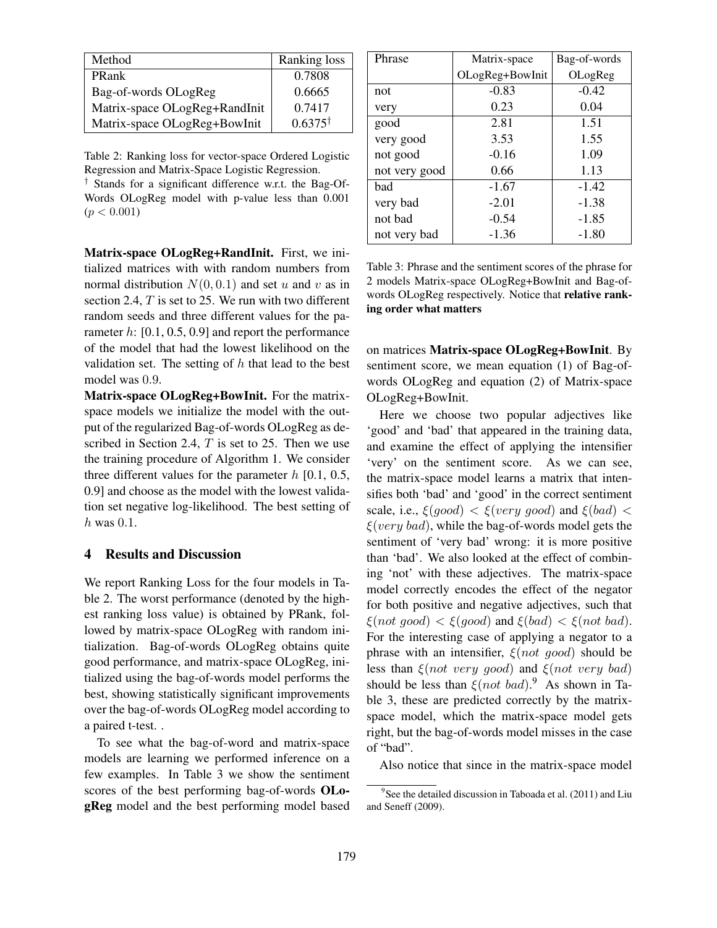| Method                        | Ranking loss       |
|-------------------------------|--------------------|
| <b>PRank</b>                  | 0.7808             |
| Bag-of-words OLogReg          | 0.6665             |
| Matrix-space OLogReg+RandInit | 0.7417             |
| Matrix-space OLogReg+BowInit  | $0.6375^{\dagger}$ |

Table 2: Ranking loss for vector-space Ordered Logistic Regression and Matrix-Space Logistic Regression.

† Stands for a significant difference w.r.t. the Bag-Of-Words OLogReg model with p-value less than 0.001  $(p < 0.001)$ 

Matrix-space OLogReg+RandInit. First, we initialized matrices with with random numbers from normal distribution  $N(0, 0.1)$  and set u and v as in section 2.4, T is set to 25. We run with two different random seeds and three different values for the parameter  $h: [0.1, 0.5, 0.9]$  and report the performance of the model that had the lowest likelihood on the validation set. The setting of  $h$  that lead to the best model was 0.9.

Matrix-space OLogReg+BowInit. For the matrixspace models we initialize the model with the output of the regularized Bag-of-words OLogReg as described in Section 2.4,  $T$  is set to 25. Then we use the training procedure of Algorithm 1. We consider three different values for the parameter  $h$  [0.1, 0.5, 0.9] and choose as the model with the lowest validation set negative log-likelihood. The best setting of  $h$  was 0.1.

## 4 Results and Discussion

We report Ranking Loss for the four models in Table 2. The worst performance (denoted by the highest ranking loss value) is obtained by PRank, followed by matrix-space OLogReg with random initialization. Bag-of-words OLogReg obtains quite good performance, and matrix-space OLogReg, initialized using the bag-of-words model performs the best, showing statistically significant improvements over the bag-of-words OLogReg model according to a paired t-test. .

To see what the bag-of-word and matrix-space models are learning we performed inference on a few examples. In Table 3 we show the sentiment scores of the best performing bag-of-words OLogReg model and the best performing model based

| Phrase        | Matrix-space    | Bag-of-words |
|---------------|-----------------|--------------|
|               | OLogReg+BowInit | OLogReg      |
| not           | $-0.83$         | $-0.42$      |
| very          | 0.23            | 0.04         |
| good          | 2.81            | 1.51         |
| very good     | 3.53            | 1.55         |
| not good      | $-0.16$         | 1.09         |
| not very good | 0.66            | 1.13         |
| bad           | $-1.67$         | $-1.42$      |
| very bad      | $-2.01$         | $-1.38$      |
| not bad       | $-0.54$         | $-1.85$      |
| not very bad  | $-1.36$         | $-1.80$      |

Table 3: Phrase and the sentiment scores of the phrase for 2 models Matrix-space OLogReg+BowInit and Bag-ofwords OLogReg respectively. Notice that relative ranking order what matters

on matrices Matrix-space OLogReg+BowInit. By sentiment score, we mean equation (1) of Bag-ofwords OLogReg and equation (2) of Matrix-space OLogReg+BowInit.

Here we choose two popular adjectives like 'good' and 'bad' that appeared in the training data, and examine the effect of applying the intensifier 'very' on the sentiment score. As we can see, the matrix-space model learns a matrix that intensifies both 'bad' and 'good' in the correct sentiment scale, i.e.,  $\xi(qood) < \xi(very\ qood)$  and  $\xi(bad) <$  $\xi(very\ bad)$ , while the bag-of-words model gets the sentiment of 'very bad' wrong: it is more positive than 'bad'. We also looked at the effect of combining 'not' with these adjectives. The matrix-space model correctly encodes the effect of the negator for both positive and negative adjectives, such that  $\xi(not \text{ good}) < \xi(good)$  and  $\xi(bad) < \xi(not \text{ bad})$ . For the interesting case of applying a negator to a phrase with an intensifier,  $\xi(not \text{ good})$  should be less than  $\xi(not \; very \; good)$  and  $\xi(not \; very \; bad)$ should be less than  $\xi (not bad)^9$ . As shown in Table 3, these are predicted correctly by the matrixspace model, which the matrix-space model gets right, but the bag-of-words model misses in the case of "bad".

Also notice that since in the matrix-space model

<sup>&</sup>lt;sup>9</sup> See the detailed discussion in Taboada et al. (2011) and Liu and Seneff (2009).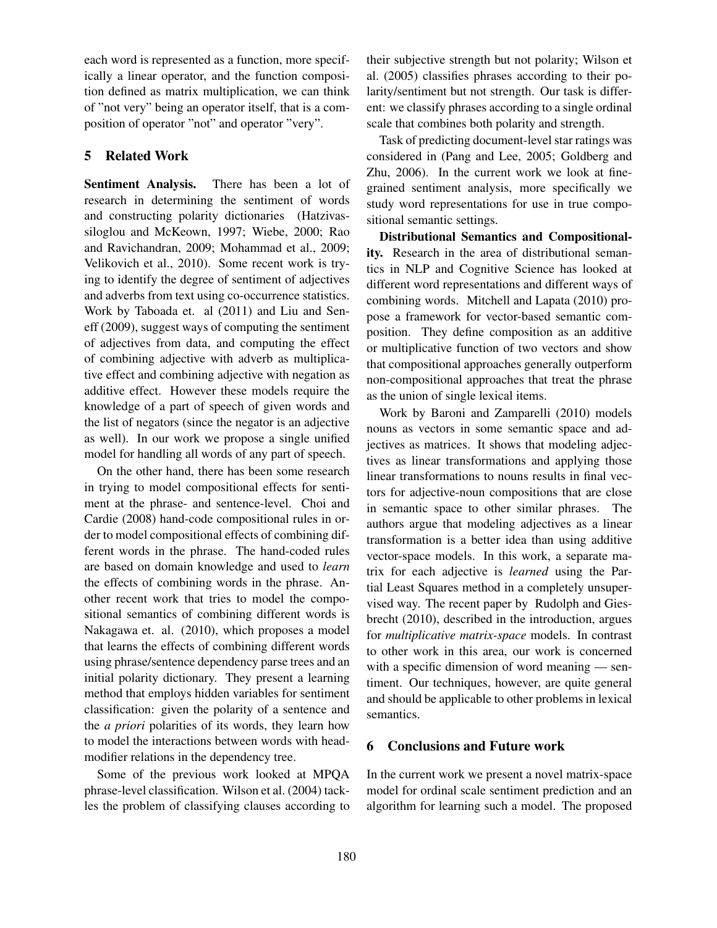each word is represented as a function, more specifically a linear operator, and the function composition defined as matrix multiplication, we can think of "not very" being an operator itself, that is a composition of operator "not" and operator "very".

# 5 Related Work

Sentiment Analysis. There has been a lot of research in determining the sentiment of words and constructing polarity dictionaries (Hatzivassiloglou and McKeown, 1997; Wiebe, 2000; Rao and Ravichandran, 2009; Mohammad et al., 2009; Velikovich et al., 2010). Some recent work is trying to identify the degree of sentiment of adjectives and adverbs from text using co-occurrence statistics. Work by Taboada et. al (2011) and Liu and Seneff (2009), suggest ways of computing the sentiment of adjectives from data, and computing the effect of combining adjective with adverb as multiplicative effect and combining adjective with negation as additive effect. However these models require the knowledge of a part of speech of given words and the list of negators (since the negator is an adjective as well). In our work we propose a single unified model for handling all words of any part of speech.

On the other hand, there has been some research in trying to model compositional effects for sentiment at the phrase- and sentence-level. Choi and Cardie (2008) hand-code compositional rules in order to model compositional effects of combining different words in the phrase. The hand-coded rules are based on domain knowledge and used to *learn* the effects of combining words in the phrase. Another recent work that tries to model the compositional semantics of combining different words is Nakagawa et. al. (2010), which proposes a model that learns the effects of combining different words using phrase/sentence dependency parse trees and an initial polarity dictionary. They present a learning method that employs hidden variables for sentiment classification: given the polarity of a sentence and the *a priori* polarities of its words, they learn how to model the interactions between words with headmodifier relations in the dependency tree.

Some of the previous work looked at MPQA phrase-level classification. Wilson et al. (2004) tackles the problem of classifying clauses according to their subjective strength but not polarity; Wilson et al. (2005) classifies phrases according to their polarity/sentiment but not strength. Our task is different: we classify phrases according to a single ordinal scale that combines both polarity and strength.

Task of predicting document-level star ratings was considered in (Pang and Lee, 2005; Goldberg and Zhu, 2006). In the current work we look at finegrained sentiment analysis, more specifically we study word representations for use in true compositional semantic settings.

Distributional Semantics and Compositionality. Research in the area of distributional semantics in NLP and Cognitive Science has looked at different word representations and different ways of combining words. Mitchell and Lapata (2010) propose a framework for vector-based semantic composition. They define composition as an additive or multiplicative function of two vectors and show that compositional approaches generally outperform non-compositional approaches that treat the phrase as the union of single lexical items.

Work by Baroni and Zamparelli (2010) models nouns as vectors in some semantic space and adjectives as matrices. It shows that modeling adjectives as linear transformations and applying those linear transformations to nouns results in final vectors for adjective-noun compositions that are close in semantic space to other similar phrases. The authors argue that modeling adjectives as a linear transformation is a better idea than using additive vector-space models. In this work, a separate matrix for each adjective is *learned* using the Partial Least Squares method in a completely unsupervised way. The recent paper by Rudolph and Giesbrecht (2010), described in the introduction, argues for *multiplicative matrix-space* models. In contrast to other work in this area, our work is concerned with a specific dimension of word meaning — sentiment. Our techniques, however, are quite general and should be applicable to other problems in lexical semantics.

## 6 Conclusions and Future work

In the current work we present a novel matrix-space model for ordinal scale sentiment prediction and an algorithm for learning such a model. The proposed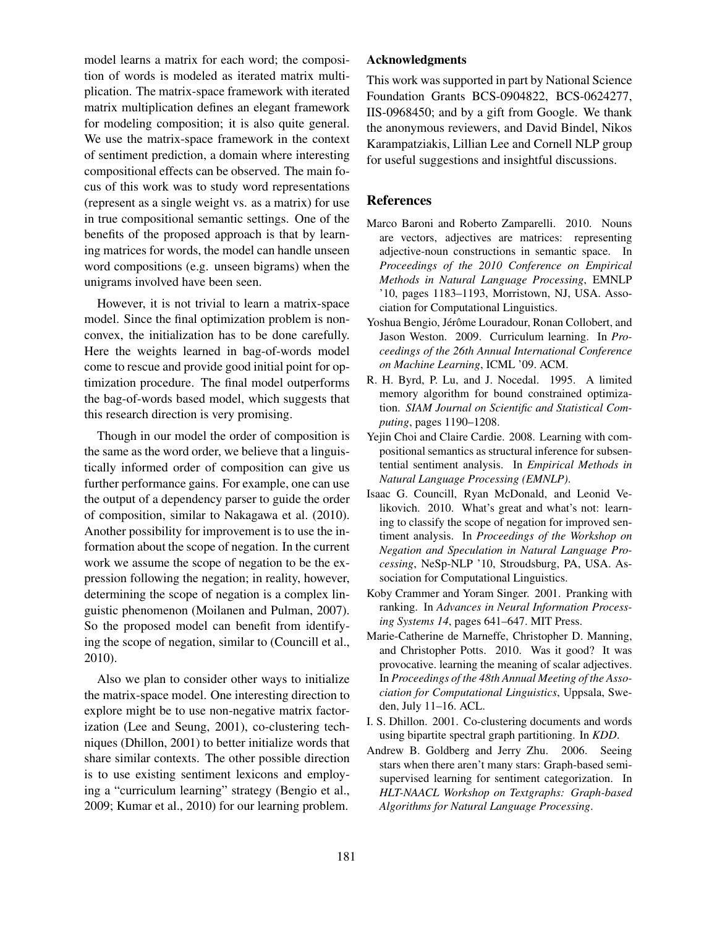model learns a matrix for each word; the composition of words is modeled as iterated matrix multiplication. The matrix-space framework with iterated matrix multiplication defines an elegant framework for modeling composition; it is also quite general. We use the matrix-space framework in the context of sentiment prediction, a domain where interesting compositional effects can be observed. The main focus of this work was to study word representations (represent as a single weight vs. as a matrix) for use in true compositional semantic settings. One of the benefits of the proposed approach is that by learning matrices for words, the model can handle unseen word compositions (e.g. unseen bigrams) when the unigrams involved have been seen.

However, it is not trivial to learn a matrix-space model. Since the final optimization problem is nonconvex, the initialization has to be done carefully. Here the weights learned in bag-of-words model come to rescue and provide good initial point for optimization procedure. The final model outperforms the bag-of-words based model, which suggests that this research direction is very promising.

Though in our model the order of composition is the same as the word order, we believe that a linguistically informed order of composition can give us further performance gains. For example, one can use the output of a dependency parser to guide the order of composition, similar to Nakagawa et al. (2010). Another possibility for improvement is to use the information about the scope of negation. In the current work we assume the scope of negation to be the expression following the negation; in reality, however, determining the scope of negation is a complex linguistic phenomenon (Moilanen and Pulman, 2007). So the proposed model can benefit from identifying the scope of negation, similar to (Councill et al., 2010).

Also we plan to consider other ways to initialize the matrix-space model. One interesting direction to explore might be to use non-negative matrix factorization (Lee and Seung, 2001), co-clustering techniques (Dhillon, 2001) to better initialize words that share similar contexts. The other possible direction is to use existing sentiment lexicons and employing a "curriculum learning" strategy (Bengio et al., 2009; Kumar et al., 2010) for our learning problem.

### Acknowledgments

This work was supported in part by National Science Foundation Grants BCS-0904822, BCS-0624277, IIS-0968450; and by a gift from Google. We thank the anonymous reviewers, and David Bindel, Nikos Karampatziakis, Lillian Lee and Cornell NLP group for useful suggestions and insightful discussions.

### References

- Marco Baroni and Roberto Zamparelli. 2010. Nouns are vectors, adjectives are matrices: representing adjective-noun constructions in semantic space. In *Proceedings of the 2010 Conference on Empirical Methods in Natural Language Processing*, EMNLP '10, pages 1183–1193, Morristown, NJ, USA. Association for Computational Linguistics.
- Yoshua Bengio, Jérôme Louradour, Ronan Collobert, and Jason Weston. 2009. Curriculum learning. In *Proceedings of the 26th Annual International Conference on Machine Learning*, ICML '09. ACM.
- R. H. Byrd, P. Lu, and J. Nocedal. 1995. A limited memory algorithm for bound constrained optimization. *SIAM Journal on Scientific and Statistical Computing*, pages 1190–1208.
- Yejin Choi and Claire Cardie. 2008. Learning with compositional semantics as structural inference for subsentential sentiment analysis. In *Empirical Methods in Natural Language Processing (EMNLP)*.
- Isaac G. Councill, Ryan McDonald, and Leonid Velikovich. 2010. What's great and what's not: learning to classify the scope of negation for improved sentiment analysis. In *Proceedings of the Workshop on Negation and Speculation in Natural Language Processing*, NeSp-NLP '10, Stroudsburg, PA, USA. Association for Computational Linguistics.
- Koby Crammer and Yoram Singer. 2001. Pranking with ranking. In *Advances in Neural Information Processing Systems 14*, pages 641–647. MIT Press.
- Marie-Catherine de Marneffe, Christopher D. Manning, and Christopher Potts. 2010. Was it good? It was provocative. learning the meaning of scalar adjectives. In *Proceedings of the 48th Annual Meeting of the Association for Computational Linguistics*, Uppsala, Sweden, July 11–16. ACL.
- I. S. Dhillon. 2001. Co-clustering documents and words using bipartite spectral graph partitioning. In *KDD*.
- Andrew B. Goldberg and Jerry Zhu. 2006. Seeing stars when there aren't many stars: Graph-based semisupervised learning for sentiment categorization. In *HLT-NAACL Workshop on Textgraphs: Graph-based Algorithms for Natural Language Processing*.